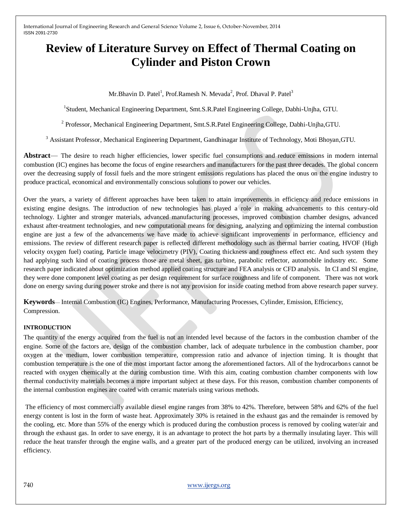# **Review of Literature Survey on Effect of Thermal Coating on Cylinder and Piston Crown**

Mr.Bhavin D. Patel<sup>1</sup>, Prof.Ramesh N. Mevada<sup>2</sup>, Prof. Dhaval P. Patel<sup>3</sup>

<sup>1</sup>Student, Mechanical Engineering Department, Smt.S.R.Patel Engineering College, Dabhi-Unjha, GTU.

<sup>2</sup> Professor, Mechanical Engineering Department, Smt.S.R.Patel Engineering College, Dabhi-Unjha,GTU.

<sup>3</sup> Assistant Professor, Mechanical Engineering Department, Gandhinagar Institute of Technology, Moti Bhoyan,GTU.

**Abstract**— The desire to reach higher efficiencies, lower specific fuel consumptions and reduce emissions in modern internal combustion (IC) engines has become the focus of engine researchers and manufacturers for the past three decades. The global concern over the decreasing supply of fossil fuels and the more stringent emissions regulations has placed the onus on the engine industry to produce practical, economical and environmentally conscious solutions to power our vehicles.

Over the years, a variety of different approaches have been taken to attain improvements in efficiency and reduce emissions in existing engine designs. The introduction of new technologies has played a role in making advancements to this century-old technology. Lighter and stronger materials, advanced manufacturing processes, improved combustion chamber designs, advanced exhaust after-treatment technologies, and new computational means for designing, analyzing and optimizing the internal combustion engine are just a few of the advancements we have made to achieve significant improvements in performance, efficiency and emissions. The review of different research paper is reflected different methodology such as thermal barrier coating, HVOF (High velocity oxygen fuel) coating, Particle image velocimetry (PIV), Coating thickness and roughness effect etc. And such system they had applying such kind of coating process those are metal sheet, gas turbine, parabolic reflector, automobile industry etc. Some research paper indicated about optimization method applied coating structure and FEA analysis or CFD analysis. In CI and SI engine, they were done component level coating as per design requirement for surface roughness and life of component. There was not work done on energy saving during power stroke and there is not any provision for inside coating method from above research paper survey.

**Keywords**— Internal Combustion (IC) Engines, Performance, Manufacturing Processes, Cylinder, Emission, Efficiency, Compression.

### **INTRODUCTION**

The quantity of the energy acquired from the fuel is not an intended level because of the factors in the combustion chamber of the engine. Some of the factors are, design of the combustion chamber, lack of adequate turbulence in the combustion chamber, poor oxygen at the medium, lower combustion temperature, compression ratio and advance of injection timing. It is thought that combustion temperature is the one of the most important factor among the aforementioned factors. All of the hydrocarbons cannot be reacted with oxygen chemically at the during combustion time. With this aim, coating combustion chamber components with low thermal conductivity materials becomes a more important subject at these days. For this reason, combustion chamber components of the internal combustion engines are coated with ceramic materials using various methods.

The efficiency of most commercially available diesel engine ranges from 38% to 42%. Therefore, between 58% and 62% of the fuel energy content is lost in the form of waste heat. Approximately 30% is retained in the exhaust gas and the remainder is removed by the cooling, etc. More than 55% of the energy which is produced during the combustion process is removed by cooling water/air and through the exhaust gas. In order to save energy, it is an advantage to protect the hot parts by a thermally insulating layer. This will reduce the heat transfer through the engine walls, and a greater part of the produced energy can be utilized, involving an increased efficiency.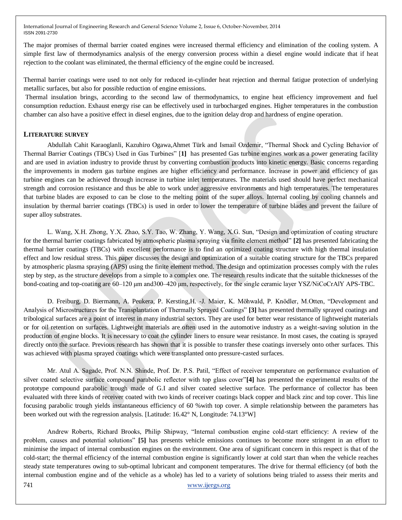The major promises of thermal barrier coated engines were increased thermal efficiency and elimination of the cooling system. A simple first law of thermodynamics analysis of the energy conversion process within a diesel engine would indicate that if heat rejection to the coolant was eliminated, the thermal efficiency of the engine could be increased.

Thermal barrier coatings were used to not only for reduced in-cylinder heat rejection and thermal fatigue protection of underlying metallic surfaces, but also for possible reduction of engine emissions.

Thermal insulation brings, according to the second law of thermodynamics, to engine heat efficiency improvement and fuel consumption reduction. Exhaust energy rise can be effectively used in turbocharged engines. Higher temperatures in the combustion chamber can also have a positive effect in diesel engines, due to the ignition delay drop and hardness of engine operation.

### **LITERATURE SURVEY**

Abdullah Cahit Karaoglanli, Kazuhiro Ogawa,Ahmet Türk and Ismail Ozdemir, "Thermal Shock and Cycling Behavior of Thermal Barrier Coatings (TBCs) Used in Gas Turbines‖ [**1]** has presented Gas turbine engines work as a power generating facility and are used in aviation industry to provide thrust by converting combustion products into kinetic energy. Basic concerns regarding the improvements in modern gas turbine engines are higher efficiency and performance. Increase in power and efficiency of gas turbine engines can be achieved through increase in turbine inlet temperatures. The materials used should have perfect mechanical strength and corrosion resistance and thus be able to work under aggressive environments and high temperatures. The temperatures that turbine blades are exposed to can be close to the melting point of the super alloys. Internal cooling by cooling channels and insulation by thermal barrier coatings (TBCs) is used in order to lower the temperature of turbine blades and prevent the failure of super alloy substrates.

L. Wang, X.H. Zhong, Y.X. Zhao, S.Y. Tao, W. Zhang, Y. Wang, X.G. Sun, "Design and optimization of coating structure for the thermal barrier coatings fabricated by atmospheric plasma spraying via finite element method‖ **[2]** has presented fabricating the thermal barrier coatings (TBCs) with excellent performance is to find an optimized coating structure with high thermal insulation effect and low residual stress. This paper discusses the design and optimization of a suitable coating structure for the TBCs prepared by atmospheric plasma spraying (APS) using the finite element method. The design and optimization processes comply with the rules step by step, as the structure develops from a simple to a complex one. The research results indicate that the suitable thicknesses of the bond-coating and top-coating are 60–120 μm and300–420 μm, respectively, for the single ceramic layer YSZ/NiCoCrAlY APS-TBC.

D. Freiburg, D. Biermann, A. Peukera, P. Kersting,H. -J. Maier, K. Möhwald, P. Knödler, M.Otten, "Development and Analysis of Microstructures for the Transplantation of Thermally Sprayed Coatings‖ **[3]** has presented thermally sprayed coatings and tribological surfaces are a point of interest in many industrial sectors. They are used for better wear resistance of lightweight materials or for oil retention on surfaces. Lightweight materials are often used in the automotive industry as a weight-saving solution in the production of engine blocks. It is necessary to coat the cylinder liners to ensure wear resistance. In most cases, the coating is sprayed directly onto the surface. Previous research has shown that it is possible to transfer these coatings inversely onto other surfaces. This was achieved with plasma sprayed coatings which were transplanted onto pressure-casted surfaces.

Mr. Atul A. Sagade, Prof. N.N. Shinde, Prof. Dr. P.S. Patil, "Effect of receiver temperature on performance evaluation of silver coated selective surface compound parabolic reflector with top glass cover"[4] has presented the experimental results of the prototype compound parabolic trough made of G.I and silver coated selective surface. The performance of collector has been evaluated with three kinds of receiver coated with two kinds of receiver coatings black copper and black zinc and top cover. This line focusing parabolic trough yields instantaneous efficiency of 60 %with top cover. A simple relationship between the parameters has been worked out with the regression analysis. [Latitude: 16.42° N, Longitude: 74.13°W]

741 www.ijergs.org Andrew Roberts, Richard Brooks, Philip Shipway, "Internal combustion engine cold-start efficiency: A review of the problem, causes and potential solutions‖ **[5]** has presents vehicle emissions continues to become more stringent in an effort to minimise the impact of internal combustion engines on the environment. One area of significant concern in this respect is that of the cold-start; the thermal efficiency of the internal combustion engine is significantly lower at cold start than when the vehicle reaches steady state temperatures owing to sub-optimal lubricant and component temperatures. The drive for thermal efficiency (of both the internal combustion engine and of the vehicle as a whole) has led to a variety of solutions being trialed to assess their merits and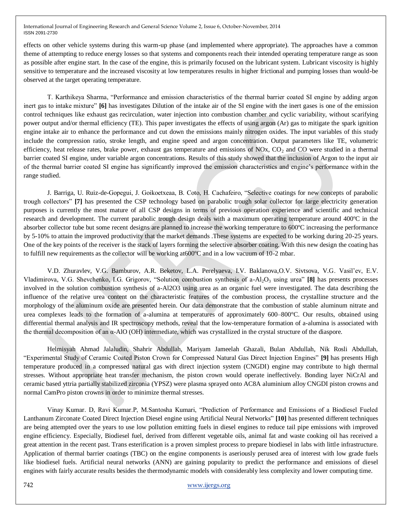effects on other vehicle systems during this warm-up phase (and implemented where appropriate). The approaches have a common theme of attempting to reduce energy losses so that systems and components reach their intended operating temperature range as soon as possible after engine start. In the case of the engine, this is primarily focused on the lubricant system. Lubricant viscosity is highly sensitive to temperature and the increased viscosity at low temperatures results in higher frictional and pumping losses than would-be observed at the target operating temperature.

T. Karthikeya Sharma, "Performance and emission characteristics of the thermal barrier coated SI engine by adding argon inert gas to intake mixture" **[6]** has investigates Dilution of the intake air of the SI engine with the inert gases is one of the emission control techniques like exhaust gas recirculation, water injection into combustion chamber and cyclic variability, without scarifying power output and/or thermal efficiency (TE). This paper investigates the effects of using argon (Ar) gas to mitigate the spark ignition engine intake air to enhance the performance and cut down the emissions mainly nitrogen oxides. The input variables of this study include the compression ratio, stroke length, and engine speed and argon concentration. Output parameters like TE, volumetric efficiency, heat release rates, brake power, exhaust gas temperature and emissions of  $NOx$ ,  $CO<sub>2</sub>$  and CO were studied in a thermal barrier coated SI engine, under variable argon concentrations. Results of this study showed that the inclusion of Argon to the input air of the thermal barrier coated SI engine has significantly improved the emission characteristics and engine's performance within the range studied.

J. Barriga, U. Ruiz-de-Gopegui, J. Goikoetxeaa, B. Coto, H. Cachafeiro, "Selective coatings for new concepts of parabolic trough collectors‖ **[7]** has presented the CSP technology based on parabolic trough solar collector for large electricity generation purposes is currently the most mature of all CSP designs in terms of previous operation experience and scientific and technical research and development. The current parabolic trough design deals with a maximum operating temperature around 400ºC in the absorber collector tube but some recent designs are planned to increase the working temperature to 600ºC increasing the performance by 5-10% to attain the improved productivity that the market demands .These systems are expected to be working during 20-25 years. One of the key points of the receiver is the stack of layers forming the selective absorber coating. With this new design the coating has to fulfill new requirements as the collector will be working at600ºC and in a low vacuum of 10-2 mbar.

V.D. Zhuravlev, V.G. Bamburov, A.R. Beketov, L.A. Perelyaeva, I.V. Baklanova,O.V. Sivtsova, V.G. Vasil'ev, E.V. Vladimirova, V.G. Shevchenko, I.G. Grigorov, "Solution combustion synthesis of a-Al<sub>2</sub>O<sub>3</sub> using urea" **[8]** has presents processes involved in the solution combustion synthesis of a-Al2O3 using urea as an organic fuel were investigated. The data describing the influence of the relative urea content on the characteristic features of the combustion process, the crystalline structure and the morphology of the aluminum oxide are presented herein. Our data demonstrate that the combustion of stable aluminum nitrate and urea complexes leads to the formation of a-alumina at temperatures of approximately 600–800°C. Our results, obtained using differential thermal analysis and IR spectroscopy methods, reveal that the low-temperature formation of a-alumina is associated with the thermal decomposition of an α-AlO (OH) intermediate, which was crystallized in the crystal structure of the diaspore.

Helmisyah Ahmad Jalaludin, Shahrir Abdullah, Mariyam Jameelah Ghazali, Bulan Abdullah, Nik Rosli Abdullah, ―Experimental Study of Ceramic Coated Piston Crown for Compressed Natural Gas Direct Injection Engines‖ **[9]** has presents High temperature produced in a compressed natural gas with direct injection system (CNGDI) engine may contribute to high thermal stresses. Without appropriate heat transfer mechanism, the piston crown would operate ineffectively. Bonding layer NiCrAl and ceramic based yttria partially stabilized zirconia (YPSZ) were plasma sprayed onto AC8A aluminium alloy CNGDI piston crowns and normal CamPro piston crowns in order to minimize thermal stresses.

Vinay Kumar. D, Ravi Kumar.P, M.Santosha Kumari, "Prediction of Performance and Emissions of a Biodiesel Fueled Lanthanum Zirconate Coated Direct Injection Diesel engine using Artificial Neural Networks‖ **[10]** has presented different techniques are being attempted over the years to use low pollution emitting fuels in diesel engines to reduce tail pipe emissions with improved engine efficiency. Especially, Biodiesel fuel, derived from different vegetable oils, animal fat and waste cooking oil has received a great attention in the recent past. Trans esterification is a proven simplest process to prepare biodiesel in labs with little infrastructure. Application of thermal barrier coatings (TBC) on the engine components is aseriously perused area of interest with low grade fuels like biodiesel fuels. Artificial neural networks (ANN) are gaining popularity to predict the performance and emissions of diesel engines with fairly accurate results besides the thermodynamic models with considerably less complexity and lower computing time.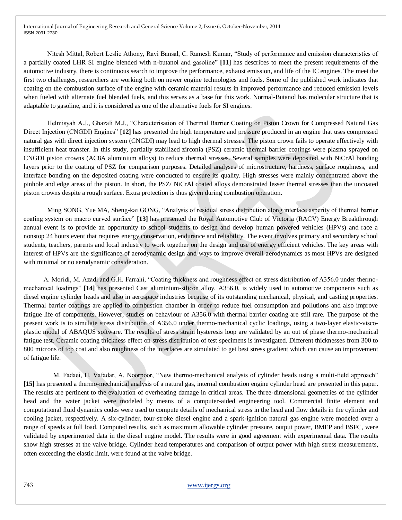Nitesh Mittal, Robert Leslie Athony, Ravi Bansal, C. Ramesh Kumar, "Study of performance and emission characteristics of a partially coated LHR SI engine blended with n-butanol and gasoline" [11] has describes to meet the present requirements of the automotive industry, there is continuous search to improve the performance, exhaust emission, and life of the IC engines. The meet the first two challenges, researchers are working both on newer engine technologies and fuels. Some of the published work indicates that coating on the combustion surface of the engine with ceramic material results in improved performance and reduced emission levels when fueled with alternate fuel blended fuels, and this serves as a base for this work. Normal-Butanol has molecular structure that is adaptable to gasoline, and it is considered as one of the alternative fuels for SI engines.

Helmisvah A.J., Ghazali M.J., "Characterisation of Thermal Barrier Coating on Piston Crown for Compressed Natural Gas Direct Injection (CNGDI) Engines" [12] has presented the high temperature and pressure produced in an engine that uses compressed natural gas with direct injection system (CNGDI) may lead to high thermal stresses. The piston crown fails to operate effectively with insufficient heat transfer. In this study, partially stabilized zirconia (PSZ) ceramic thermal barrier coatings were plasma sprayed on CNGDI piston crowns (AC8A aluminium alloys) to reduce thermal stresses. Several samples were deposited with NiCrAl bonding layers prior to the coating of PSZ for comparison purposes. Detailed analyses of microstructure, hardness, surface roughness, and interface bonding on the deposited coating were conducted to ensure its quality. High stresses were mainly concentrated above the pinhole and edge areas of the piston. In short, the PSZ/ NiCrAl coated alloys demonstrated lesser thermal stresses than the uncoated piston crowns despite a rough surface. Extra protection is thus given during combustion operation.

Ming SONG, Yue MA, Sheng-kai GONG, "Analysis of residual stress distribution along interface asperity of thermal barrier coating system on macro curved surface" [13] has presented the Royal Automotive Club of Victoria (RACV) Energy Breakthrough annual event is to provide an opportunity to school students to design and develop human powered vehicles (HPVs) and race a nonstop 24 hours event that requires energy conservation, endurance and reliability. The event involves primary and secondary school students, teachers, parents and local industry to work together on the design and use of energy efficient vehicles. The key areas with interest of HPVs are the significance of aerodynamic design and ways to improve overall aerodynamics as most HPVs are designed with minimal or no aerodynamic consideration.

A. Moridi, M. Azadi and G.H. Farrahi, "Coating thickness and roughness effect on stress distribution of A356.0 under thermomechanical loadings" [14] has presented Cast aluminium-silicon alloy, A356.0, is widely used in automotive components such as diesel engine cylinder heads and also in aerospace industries because of its outstanding mechanical, physical, and casting properties. Thermal barrier coatings are applied to combustion chamber in order to reduce fuel consumption and pollutions and also improve fatigue life of components. However, studies on behaviour of A356.0 with thermal barrier coating are still rare. The purpose of the present work is to simulate stress distribution of A356.0 under thermo-mechanical cyclic loadings, using a two-layer elastic-viscoplastic model of ABAQUS software. The results of stress strain hysteresis loop are validated by an out of phase thermo-mechanical fatigue test. Ceramic coating thickness effect on stress distribution of test specimens is investigated. Different thicknesses from 300 to 800 microns of top coat and also roughness of the interfaces are simulated to get best stress gradient which can cause an improvement of fatigue life.

M. Fadaei, H. Vafadar, A. Noorpoor, "New thermo-mechanical analysis of cylinder heads using a multi-field approach" **[15]** has presented a thermo-mechanical analysis of a natural gas, internal combustion engine cylinder head are presented in this paper. The results are pertinent to the evaluation of overheating damage in critical areas. The three-dimensional geometries of the cylinder head and the water jacket were modeled by means of a computer-aided engineering tool. Commercial finite element and computational fluid dynamics codes were used to compute details of mechanical stress in the head and flow details in the cylinder and cooling jacket, respectively. A six-cylinder, four-stroke diesel engine and a spark-ignition natural gas engine were modeled over a range of speeds at full load. Computed results, such as maximum allowable cylinder pressure, output power, BMEP and BSFC, were validated by experimented data in the diesel engine model. The results were in good agreement with experimental data. The results show high stresses at the valve bridge. Cylinder head temperatures and comparison of output power with high stress measurements, often exceeding the elastic limit, were found at the valve bridge.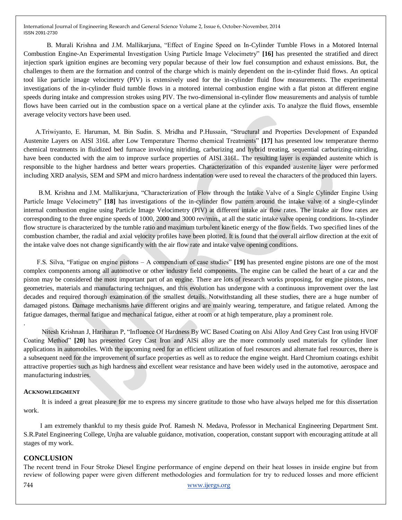B. Murali Krishna and J.M. Mallikarjuna, "Effect of Engine Speed on In-Cylinder Tumble Flows in a Motored Internal Combustion Engine-An Experimental Investigation Using Particle Image Velocimetry" [16] has presented the stratified and direct injection spark ignition engines are becoming very popular because of their low fuel consumption and exhaust emissions. But, the challenges to them are the formation and control of the charge which is mainly dependent on the in-cylinder fluid flows. An optical tool like particle image velocimetry (PIV) is extensively used for the in-cylinder fluid flow measurements. The experimental investigations of the in-cylinder fluid tumble flows in a motored internal combustion engine with a flat piston at different engine speeds during intake and compression strokes using PIV. The two-dimensional in-cylinder flow measurements and analysis of tumble flows have been carried out in the combustion space on a vertical plane at the cylinder axis. To analyze the fluid flows, ensemble average velocity vectors have been used.

A.Triwiyanto, E. Haruman, M. Bin Sudin. S. Mridha and P.Hussain, "Structural and Properties Development of Expanded Austenite Layers on AISI 316L after Low Temperature Thermo chemical Treatments" [17] has presented low temperature thermo chemical treatments in fluidized bed furnace involving nitriding, carburizing and hybrid treating, sequential carburizing-nitriding, have been conducted with the aim to improve surface properties of AISI 316L. The resulting layer is expanded austenite which is responsible to the higher hardness and better wears properties. Characterization of this expanded austenite layer were performed including XRD analysis, SEM and SPM and micro hardness indentation were used to reveal the characters of the produced thin layers.

B.M. Krishna and J.M. Mallikarjuna, "Characterization of Flow through the Intake Valve of a Single Cylinder Engine Using Particle Image Velocimetry" [18] has investigations of the in-cylinder flow pattern around the intake valve of a single-cylinder internal combustion engine using Particle Image Velocimetry (PIV) at different intake air flow rates. The intake air flow rates are corresponding to the three engine speeds of 1000, 2000 and 3000 rev/min., at all the static intake valve opening conditions. In-cylinder flow structure is characterized by the tumble ratio and maximum turbulent kinetic energy of the flow fields. Two specified lines of the combustion chamber, the radial and axial velocity profiles have been plotted. It is found that the overall airflow direction at the exit of the intake valve does not change significantly with the air flow rate and intake valve opening conditions.

F.S. Silva, "Fatigue on engine pistons – A compendium of case studies" [19] has presented engine pistons are one of the most complex components among all automotive or other industry field components. The engine can be called the heart of a car and the piston may be considered the most important part of an engine. There are lots of research works proposing, for engine pistons, new geometries, materials and manufacturing techniques, and this evolution has undergone with a continuous improvement over the last decades and required thorough examination of the smallest details. Notwithstanding all these studies, there are a huge number of damaged pistons. Damage mechanisms have different origins and are mainly wearing, temperature, and fatigue related. Among the fatigue damages, thermal fatigue and mechanical fatigue, either at room or at high temperature, play a prominent role.

Nitesh Krishnan J, Hariharan P, "Influence Of Hardness By WC Based Coating on Alsi Alloy And Grey Cast Iron using HVOF Coating Method<sup>"</sup> [20] has presented Grey Cast Iron and AlSi alloy are the more commonly used materials for cylinder liner applications in automobiles. With the upcoming need for an efficient utilization of fuel resources and alternate fuel resources, there is a subsequent need for the improvement of surface properties as well as to reduce the engine weight. Hard Chromium coatings exhibit attractive properties such as high hardness and excellent wear resistance and have been widely used in the automotive, aerospace and manufacturing industries.

### **ACKNOWLEDGMENT**

 It is indeed a great pleasure for me to express my sincere gratitude to those who have always helped me for this dissertation work.

 I am extremely thankful to my thesis guide Prof. Ramesh N. Medava, Professor in Mechanical Engineering Department Smt. S.R.Patel Engineering College, Unjha are valuable guidance, motivation, cooperation, constant support with encouraging attitude at all stages of my work.

### **CONCLUSION**

The recent trend in Four Stroke Diesel Engine performance of engine depend on their heat losses in inside engine but from review of following paper were given different methodologies and formulation for try to reduced losses and more efficient

.

744 www.ijergs.org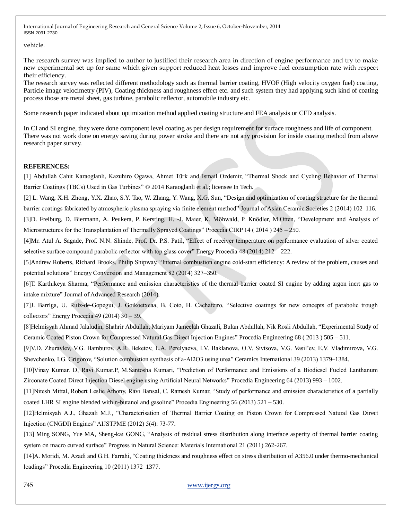vehicle.

The research survey was implied to author to justified their research area in direction of engine performance and try to make new experimental set up for same which given support reduced heat losses and improve fuel consumption rate with respect their efficiency.

The research survey was reflected different methodology such as thermal barrier coating, HVOF (High velocity oxygen fuel) coating, Particle image velocimetry (PIV), Coating thickness and roughness effect etc. and such system they had applying such kind of coating process those are metal sheet, gas turbine, parabolic reflector, automobile industry etc.

Some research paper indicated about optimization method applied coating structure and FEA analysis or CFD analysis.

In CI and SI engine, they were done component level coating as per design requirement for surface roughness and life of component. There was not work done on energy saving during power stroke and there are not any provision for inside coating method from above research paper survey.

## **REFERENCES:**

[1] Abdullah Cahit Karaoglanli, Kazuhiro Ogawa, Ahmet Türk and Ismail Ozdemir, "Thermal Shock and Cycling Behavior of Thermal Barrier Coatings (TBCs) Used in Gas Turbines" © 2014 Karaoglanli et al.; licensee In Tech.

[2] L. Wang, X.H. Zhong, Y.X. Zhao, S.Y. Tao, W. Zhang, Y. Wang, X.G. Sun, "Design and optimization of coating structure for the thermal barrier coatings fabricated by atmospheric plasma spraying via finite element method" Journal of Asian Ceramic Societies 2 (2014) 102-116. [3]D. Freiburg, D. Biermann, A. Peukera, P. Kersting, H. -J. Maier, K. Möhwald, P. Knödler, M.Otten, "Development and Analysis of Microstructures for the Transplantation of Thermally Sprayed Coatings" Procedia CIRP 14 ( 2014 ) 245 – 250.

[4]Mr. Atul A. Sagade, Prof. N.N. Shinde, Prof. Dr. P.S. Patil, "Effect of receiver temperature on performance evaluation of silver coated selective surface compound parabolic reflector with top glass cover" Energy Procedia 48 (2014)  $212 - 222$ .

[5]Andrew Roberts, Richard Brooks, Philip Shipway, "Internal combustion engine cold-start efficiency: A review of the problem, causes and potential solutions" Energy Conversion and Management 82 (2014) 327–350.

[6]T. Karthikeya Sharma, "Performance and emission characteristics of the thermal barrier coated SI engine by adding argon inert gas to intake mixture" Journal of Advanced Research (2014).

[7]J. Barriga, U. Ruiz-de-Gopegui, J. Goikoetxeaa, B. Coto, H. Cachafeiro, "Selective coatings for new concepts of parabolic trough collectors" Energy Procedia  $49$  (2014)  $30 - 39$ .

[8]Helmisyah Ahmad Jalaludin, Shahrir Abdullah, Mariyam Jameelah Ghazali, Bulan Abdullah, Nik Rosli Abdullah, "Experimental Study of Ceramic Coated Piston Crown for Compressed Natural Gas Direct Injection Engines" Procedia Engineering 68 (2013) 505 – 511.

[9]V.D. Zhuravlev, V.G. Bamburov, A.R. Beketov, L.A. Perelyaeva, I.V. Baklanova, O.V. Sivtsova, V.G. Vasil'ev, E.V. Vladimirova, V.G. Shevchenko, I.G. Grigorov, "Solution combustion synthesis of a-Al2O3 using urea" Ceramics International 39 (2013) 1379–1384.

[10]Vinay Kumar. D, Ravi Kumar.P, M.Santosha Kumari, "Prediction of Performance and Emissions of a Biodiesel Fueled Lanthanum Zirconate Coated Direct Injection Diesel engine using Artificial Neural Networks‖ Procedia Engineering 64 (2013) 993 – 1002.

[11]Nitesh Mittal, Robert Leslie Athony, Ravi Bansal, C. Ramesh Kumar, "Study of performance and emission characteristics of a partially coated LHR SI engine blended with n-butanol and gasoline" Procedia Engineering  $56 (2013) 521 - 530$ .

[12]Helmisyah A.J., Ghazali M.J., "Characterisation of Thermal Barrier Coating on Piston Crown for Compressed Natural Gas Direct Injection (CNGDI) Engines" AIJSTPME  $(2012)$  5(4): 73-77.

[13] Ming SONG, Yue MA, Sheng-kai GONG, "Analysis of residual stress distribution along interface asperity of thermal barrier coating system on macro curved surface" Progress in Natural Science: Materials International 21 (2011) 262-267.

[14]A. Moridi, M. Azadi and G.H. Farrahi, "Coating thickness and roughness effect on stress distribution of A356.0 under thermo-mechanical loadings" Procedia Engineering 10 (2011) 1372–1377.